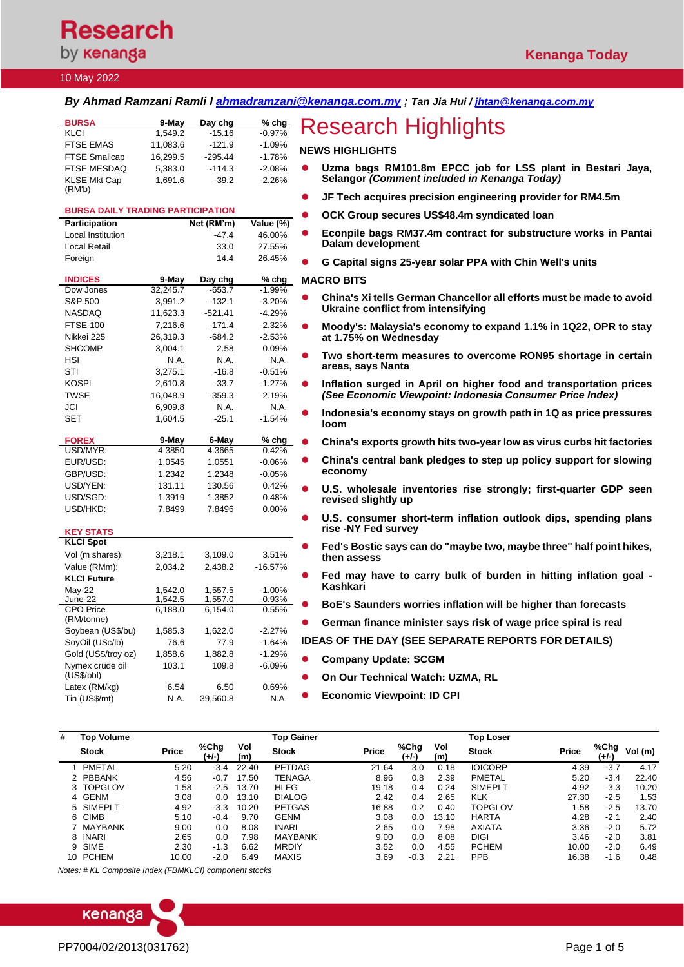# **Research** by **kenanga**

### 10 May 2022

### *By Ahmad Ramzani Ramli l [ahmadramzani@kenanga.com.my](mailto:ahmadramzani@kenanga.com.my) ; Tan Jia Hui [/ jhtan@kenanga.com.my](mailto:jhtan@kenanga.com.my)*

| <b>BURSA</b>                  | 9-May    | Day chg   | $%$ chg  |
|-------------------------------|----------|-----------|----------|
| <b>KLCI</b>                   | 1.549.2  | $-15.16$  | $-0.97%$ |
| <b>FTSE EMAS</b>              | 11,083.6 | $-121.9$  | $-1.09%$ |
| <b>FTSE Smallcap</b>          | 16.299.5 | $-295.44$ | $-1.78%$ |
| FTSE MESDAQ                   | 5.383.0  | $-114.3$  | $-2.08%$ |
| <b>KLSE Mkt Cap</b><br>(RM'b) | 1.691.6  | $-39.2$   | $-2.26%$ |

### **BURSA DAILY TRADING PARTICIPATION**

| Participation            |          | Net (RM'm) | Value (%) |
|--------------------------|----------|------------|-----------|
| <b>Local Institution</b> |          | $-47.4$    | 46.00%    |
| Local Retail             |          | 33.0       | 27.55%    |
| Foreign                  |          | 14.4       | 26.45%    |
|                          |          |            |           |
| <b>INDICES</b>           | 9-May    | Day chg    | % chg     |
| Dow Jones                | 32,245.7 | $-653.7$   | $-1.99%$  |
| S&P 500                  | 3,991.2  | $-132.1$   | $-3.20%$  |
| <b>NASDAQ</b>            | 11,623.3 | $-521.41$  | $-4.29%$  |
| <b>FTSE-100</b>          | 7,216.6  | $-171.4$   | $-2.32%$  |
| Nikkei 225               | 26,319.3 | $-684.2$   | $-2.53%$  |
| <b>SHCOMP</b>            | 3,004.1  | 2.58       | 0.09%     |
| HSI                      | N.A.     | N.A.       | N.A.      |
| STI                      | 3,275.1  | $-16.8$    | $-0.51%$  |
| <b>KOSPI</b>             | 2,610.8  | $-33.7$    | $-1.27%$  |
| <b>TWSE</b>              | 16,048.9 | $-359.3$   | $-2.19%$  |
| JCI                      | 6,909.8  | N.A.       | N.A.      |
| <b>SET</b>               | 1,604.5  | $-25.1$    | $-1.54%$  |
|                          |          |            |           |
| <b>FOREX</b>             | 9-May    | 6-May      | % chg     |
| USD/MYR:                 | 4.3850   | 4.3665     | 0.42%     |
| EUR/USD:                 | 1.0545   | 1.0551     | $-0.06%$  |
| GBP/USD:                 | 1.2342   | 1.2348     | $-0.05%$  |
| USD/YEN:                 | 131.11   | 130.56     | 0.42%     |
| USD/SGD:                 | 1.3919   | 1.3852     | 0.48%     |
| USD/HKD:                 | 7.8499   | 7.8496     | $0.00\%$  |
|                          |          |            |           |
| <b>KEY STATS</b>         |          |            |           |
| <b>KLCI Spot</b>         |          |            |           |
| Vol (m shares):          | 3,218.1  | 3,109.0    | 3.51%     |
| Value (RMm):             | 2,034.2  | 2,438.2    | $-16.57%$ |
| <b>KLCI Future</b>       |          |            |           |
| Mav-22                   | 1.542.0  | 1.557.5    | $-1.00%$  |
| June-22                  | 1,542.5  | 1,557.0    | $-0.93%$  |
| <b>CPO Price</b>         | 6,188.0  | 6,154.0    | 0.55%     |
| (RM/tonne)               |          |            |           |
| Soybean (US\$/bu)        | 1,585.3  | 1,622.0    | $-2.27%$  |
| SoyOil (USc/lb)          | 76.6     | 77.9       | $-1.64%$  |
| Gold (US\$/troy oz)      | 1,858.6  | 1,882.8    | $-1.29%$  |
| Nymex crude oil          | 103.1    | 109.8      | $-6.09%$  |
| (US\$/bbI)               |          |            |           |
| Latex (RM/kg)            | 6.54     | 6.50       | 0.69%     |
| Tin (US\$/mt)            | N.A.     | 39,560.8   | N.A.      |
|                          |          |            |           |

# **Research Highlights**

### **NEWS HIGHLIGHTS**

- ⚫ **Uzma bags RM101.8m EPCC job for LSS plant in Bestari Jaya, Selangor** *(Comment included in Kenanga Today)*
	- ⚫ **JF Tech acquires precision engineering provider for RM4.5m**
- ⚫ **OCK Group secures US\$48.4m syndicated loan**
- ⚫ **Econpile bags RM37.4m contract for substructure works in Pantai Dalam development**
- ⚫ **G Capital signs 25-year solar PPA with Chin Well's units**

### **MACRO BITS**

- ⚫ **[China's Xi tells German Chancellor all efforts must be made to avoid](https://www.reuters.com/world/chinas-xi-tells-german-chancellor-all-efforts-must-be-made-avoid-ukraine-2022-05-09/)  [Ukraine conflict from intensifying](https://www.reuters.com/world/chinas-xi-tells-german-chancellor-all-efforts-must-be-made-avoid-ukraine-2022-05-09/)**
- ⚫ **[Moody's: Malaysia's economy to expand 1.1% in 1Q22, OPR to stay](https://www.theedgemarkets.com/article/moodys-malaysians-economy-expand-11-1q22-opr-stay-175-may)  [at 1.75% on Wednesday](https://www.theedgemarkets.com/article/moodys-malaysians-economy-expand-11-1q22-opr-stay-175-may)**
- ⚫ **[Two short-term measures to overcome RON95 shortage in certain](https://www.theedgemarkets.com/article/two-shortterm-measures-overcome-ron95-shortage-certain-areas-says-nanta)  [areas, says Nanta](https://www.theedgemarkets.com/article/two-shortterm-measures-overcome-ron95-shortage-certain-areas-says-nanta)**
- ⚫ **Inflation surged in April on higher food and transportation prices**  *(See Economic Viewpoint: Indonesia Consumer Price Index)*
- ⚫ **[Indonesia's economy stays on growth path in 1Q as price pressures](https://www.theedgemarkets.com/article/indonesias-economy-stays-growth-path-1q-price-pressures-loom)  [loom](https://www.theedgemarkets.com/article/indonesias-economy-stays-growth-path-1q-price-pressures-loom)**
- ⚫ **[China's exports growth hits two-year low as virus curbs hit factories](https://www.theedgemarkets.com/article/chinas-exports-growth-hits-twoyear-low-virus-curbs-hit-factories)**
- ⚫ **[China's central bank pledges to step up policy support for slowing](https://www.reuters.com/business/china-cbank-pledges-step-up-policy-support-real-economy-2022-05-09/)  [economy](https://www.reuters.com/business/china-cbank-pledges-step-up-policy-support-real-economy-2022-05-09/)**
- ⚫ **[U.S. wholesale inventories rise strongly; first-quarter GDP seen](https://www.reuters.com/article/usa-economy-inventories/u-s-wholesale-inventories-rise-strongly-first-quarter-gdp-seen-revised-slightly-up-idUSKCN2MV1A6)  [revised slightly up](https://www.reuters.com/article/usa-economy-inventories/u-s-wholesale-inventories-rise-strongly-first-quarter-gdp-seen-revised-slightly-up-idUSKCN2MV1A6)**
- ⚫ **[U.S. consumer short-term inflation outlook dips, spending plans](https://www.reuters.com/article/usa-fed-consumer-expectations/u-s-consumer-short-term-inflation-outlook-dips-spending-plans-rise-ny-fed-survey-idUSKCN2MV1DT)  [rise -NY Fed survey](https://www.reuters.com/article/usa-fed-consumer-expectations/u-s-consumer-short-term-inflation-outlook-dips-spending-plans-rise-ny-fed-survey-idUSKCN2MV1DT)**
- ⚫ **[Fed's Bostic says can do "maybe two, maybe three" half point hikes,](https://www.reuters.com/business/feds-bostic-says-can-do-maybe-two-maybe-three-half-point-hikes-then-assess-2022-05-09/)  [then assess](https://www.reuters.com/business/feds-bostic-says-can-do-maybe-two-maybe-three-half-point-hikes-then-assess-2022-05-09/)**
- ⚫ **Fed may have to carry [bulk of burden in hitting inflation goal -](https://www.reuters.com/article/usa-fed-kashkari/fed-may-have-to-carry-bulk-of-burden-in-hitting-inflation-goal-kashkari-idUSKCN2MV10U) [Kashkari](https://www.reuters.com/article/usa-fed-kashkari/fed-may-have-to-carry-bulk-of-burden-in-hitting-inflation-goal-kashkari-idUSKCN2MV10U)**
- ⚫ **[BoE's Saunders worries inflation will be higher than forecasts](https://www.reuters.com/article/britain-boe-saunders/boes-saunders-worries-inflation-will-be-higher-than-forecasts-idUSKCN2MV14O)**

⚫ **[German finance minister says risk of wage price spiral is real](https://www.reuters.com/article/germany-economy-lindner/german-finance-minister-says-risk-of-wage-price-spiral-is-real-idUSKCN2MV0OI)**

**IDEAS OF THE DAY (SEE SEPARATE REPORTS FOR DETAILS)**

- ⚫ **Company Update: SCGM**
	- ⚫ **On Our Technical Watch: UZMA, RL**
- ⚫ **Economic Viewpoint: ID CPI**

| # | Top Volume   |       |               |            | <b>Top Gainer</b> |              |               |            | <b>Top Loser</b> |              |               |         |
|---|--------------|-------|---------------|------------|-------------------|--------------|---------------|------------|------------------|--------------|---------------|---------|
|   | <b>Stock</b> | Price | %Chg<br>(+/-) | Vol<br>(m) | <b>Stock</b>      | <b>Price</b> | %Chg<br>(+/-) | Vol<br>(m) | <b>Stock</b>     | <b>Price</b> | %Chg<br>(+/-) | Vol (m) |
|   | PMETAL       | 5.20  | $-3.4$        | 22.40      | <b>PETDAG</b>     | 21.64        | 3.0           | 0.18       | <b>IOICORP</b>   | 4.39         | $-3.7$        | 4.17    |
|   | 2 PBBANK     | 4.56  | $-0.7$        | 17.50      | <b>TENAGA</b>     | 8.96         | 0.8           | 2.39       | <b>PMETAL</b>    | 5.20         | $-3.4$        | 22.40   |
|   | 3 TOPGLOV    | .58   | -2.5          | 13.70      | <b>HLFG</b>       | 19.18        | 0.4           | 0.24       | <b>SIMEPLT</b>   | 4.92         | $-3.3$        | 10.20   |
|   | 4 GENM       | 3.08  | 0.0           | 13.10      | <b>DIALOG</b>     | 2.42         | 0.4           | 2.65       | <b>KLK</b>       | 27.30        | $-2.5$        | 1.53    |
|   | 5 SIMEPLT    | 4.92  | $-3.3$        | 10.20      | <b>PETGAS</b>     | 16.88        | 0.2           | 0.40       | TOPGLOV          | 1.58         | $-2.5$        | 13.70   |
|   | 6 CIMB       | 5.10  | $-0.4$        | 9.70       | <b>GENM</b>       | 3.08         | 0.0           | 13.10      | <b>HARTA</b>     | 4.28         | $-2.1$        | 2.40    |
|   | 7 MAYBANK    | 9.00  | 0.0           | 8.08       | <b>INARI</b>      | 2.65         | 0.0           | 7.98       | <b>AXIATA</b>    | 3.36         | $-2.0$        | 5.72    |
|   | 8 INARI      | 2.65  | 0.0           | 7.98       | <b>MAYBANK</b>    | 9.00         | 0.0           | 8.08       | DIGI             | 3.46         | $-2.0$        | 3.81    |
|   | 9 SIME       | 2.30  | $-1.3$        | 6.62       | <b>MRDIY</b>      | 3.52         | 0.0           | 4.55       | <b>PCHEM</b>     | 10.00        | $-2.0$        | 6.49    |
|   | 10 PCHEM     | 10.00 | $-2.0$        | 6.49       | MAXIS             | 3.69         | $-0.3$        | 2.21       | <b>PPB</b>       | 16.38        | $-1.6$        | 0.48    |

*Notes: # KL Composite Index (FBMKLCI) component stocks*

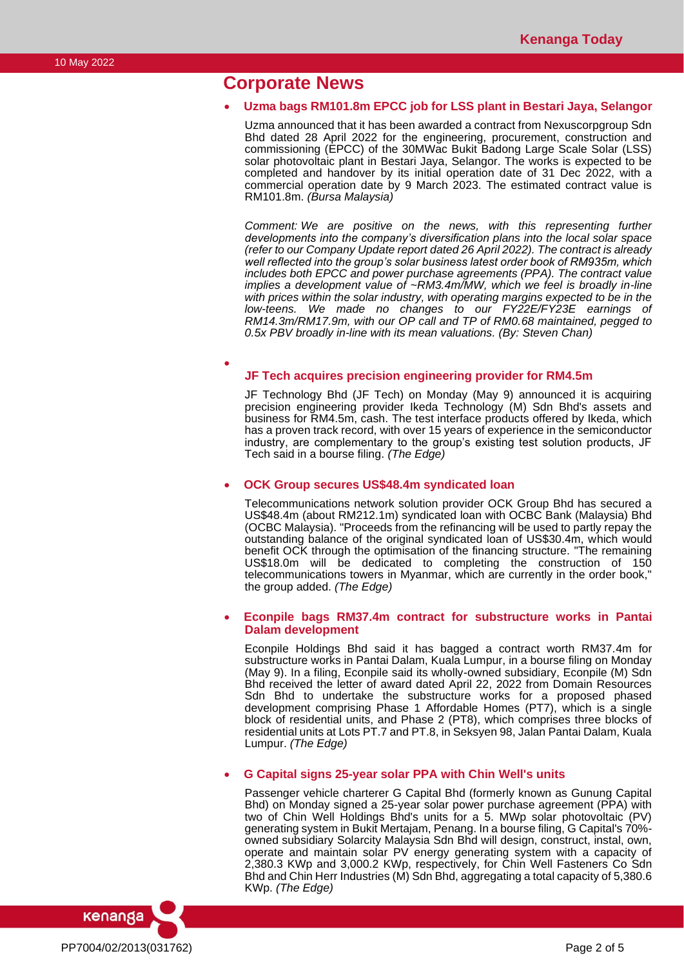### **Corporate News**

•

### • **Uzma bags RM101.8m EPCC job for LSS plant in Bestari Jaya, Selangor**

Uzma announced that it has been awarded a contract from Nexuscorpgroup Sdn Bhd dated 28 April 2022 for the engineering, procurement, construction and commissioning (EPCC) of the 30MWac Bukit Badong Large Scale Solar (LSS) solar photovoltaic plant in Bestari Jaya, Selangor. The works is expected to be completed and handover by its initial operation date of 31 Dec 2022, with a commercial operation date by 9 March 2023. The estimated contract value is RM101.8m. *(Bursa Malaysia)*

*Comment: We are positive on the news, with this representing further developments into the company's diversification plans into the local solar space (refer to our Company Update report dated 26 April 2022). The contract is already well reflected into the group's solar business latest order book of RM935m, which includes both EPCC and power purchase agreements (PPA). The contract value implies a development value of ~RM3.4m/MW, which we feel is broadly in-line with prices within the solar industry, with operating margins expected to be in the low-teens. We made no changes to our FY22E/FY23E earnings of RM14.3m/RM17.9m, with our OP call and TP of RM0.68 maintained, pegged to 0.5x PBV broadly in-line with its mean valuations. (By: Steven Chan)*

#### **JF Tech acquires precision engineering provider for RM4.5m**

JF Technology Bhd (JF Tech) on Monday (May 9) announced it is acquiring precision engineering provider Ikeda Technology (M) Sdn Bhd's assets and business for RM4.5m, cash. The test interface products offered by Ikeda, which has a proven track record, with over 15 years of experience in the semiconductor industry, are complementary to the group's existing test solution products, JF Tech said in a bourse filing. *(The Edge)*

#### • **OCK Group secures US\$48.4m syndicated loan**

Telecommunications network solution provider OCK Group Bhd has secured a US\$48.4m (about RM212.1m) syndicated loan with OCBC Bank (Malaysia) Bhd (OCBC Malaysia). "Proceeds from the refinancing will be used to partly repay the outstanding balance of the original syndicated loan of US\$30.4m, which would benefit OCK through the optimisation of the financing structure. "The remaining US\$18.0m will be dedicated to completing the construction of 150 telecommunications towers in Myanmar, which are currently in the order book," the group added. *(The Edge)*

#### • **Econpile bags RM37.4m contract for substructure works in Pantai Dalam development**

Econpile Holdings Bhd said it has bagged a contract worth RM37.4m for substructure works in Pantai Dalam, Kuala Lumpur, in a bourse filing on Monday (May 9). In a filing, Econpile said its wholly-owned subsidiary, Econpile (M) Sdn Bhd received the letter of award dated April 22, 2022 from Domain Resources Sdn Bhd to undertake the substructure works for a proposed phased development comprising Phase 1 Affordable Homes (PT7), which is a single block of residential units, and Phase 2 (PT8), which comprises three blocks of residential units at Lots PT.7 and PT.8, in Seksyen 98, Jalan Pantai Dalam, Kuala Lumpur. *(The Edge)*

### • **G Capital signs 25-year solar PPA with Chin Well's units**

Passenger vehicle charterer G Capital Bhd (formerly known as Gunung Capital Bhd) on Monday signed a 25-year solar power purchase agreement (PPA) with two of Chin Well Holdings Bhd's units for a 5. MWp solar photovoltaic (PV) generating system in Bukit Mertajam, Penang. In a bourse filing, G Capital's 70% owned subsidiary Solarcity Malaysia Sdn Bhd will design, construct, instal, own, operate and maintain solar PV energy generating system with a capacity of 2,380.3 KWp and 3,000.2 KWp, respectively, for Chin Well Fasteners Co Sdn Bhd and Chin Herr Industries (M) Sdn Bhd, aggregating a total capacity of 5,380.6 KWp. *(The Edge)*

PP7004/02/2013(031762) Page 2 of 5

kenanga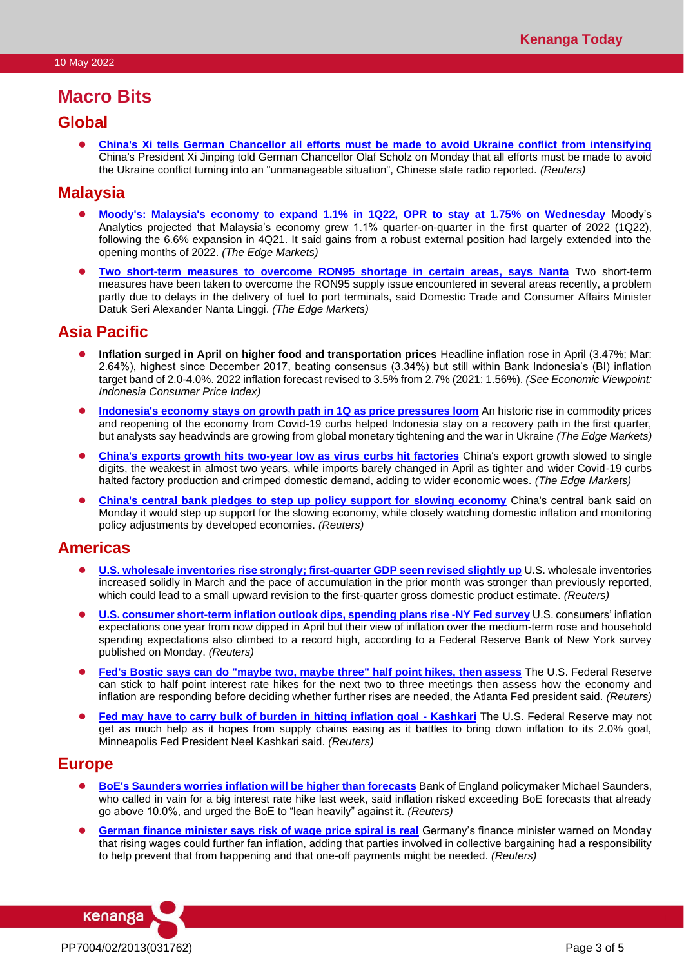## **Macro Bits**

### **Global**

⚫ **[China's Xi tells German Chancellor all efforts must be made to avoid Ukraine conflict from intensifying](https://www.reuters.com/world/chinas-xi-tells-german-chancellor-all-efforts-must-be-made-avoid-ukraine-2022-05-09/)** China's President Xi Jinping told German Chancellor Olaf Scholz on Monday that all efforts must be made to avoid the Ukraine conflict turning into an "unmanageable situation", Chinese state radio reported. *(Reuters)*

### **Malaysia**

- ⚫ **[Moody's: Malaysia's economy to expand 1.1% in 1Q22, OPR to stay at 1.75% on Wednesday](https://www.theedgemarkets.com/article/moodys-malaysians-economy-expand-11-1q22-opr-stay-175-may)** Moody's Analytics projected that Malaysia's economy grew 1.1% quarter-on-quarter in the first quarter of 2022 (1Q22), following the 6.6% expansion in 4Q21. It said gains from a robust external position had largely extended into the opening months of 2022. *(The Edge Markets)*
- ⚫ **[Two short-term measures to overcome RON95 shortage in certain areas, says Nanta](https://www.theedgemarkets.com/article/two-shortterm-measures-overcome-ron95-shortage-certain-areas-says-nanta)** Two short-term measures have been taken to overcome the RON95 supply issue encountered in several areas recently, a problem partly due to delays in the delivery of fuel to port terminals, said Domestic Trade and Consumer Affairs Minister Datuk Seri Alexander Nanta Linggi. *(The Edge Markets)*

### **Asia Pacific**

- **•** Inflation surged in April on higher food and transportation prices Headline inflation rose in April (3.47%; Mar: 2.64%), highest since December 2017, beating consensus (3.34%) but still within Bank Indonesia's (BI) inflation target band of 2.0-4.0%. 2022 inflation forecast revised to 3.5% from 2.7% (2021: 1.56%). *(See Economic Viewpoint: Indonesia Consumer Price Index)*
- ⚫ **[Indonesia's economy stays on growth path in 1Q as price pressures loom](https://www.theedgemarkets.com/article/indonesias-economy-stays-growth-path-1q-price-pressures-loom)** An historic rise in commodity prices and reopening of the economy from Covid-19 curbs helped Indonesia stay on a recovery path in the first quarter, but analysts say headwinds are growing from global monetary tightening and the war in Ukraine *(The Edge Markets)*
- **[China's exports growth hits two-year low as virus curbs hit factories](https://www.theedgemarkets.com/article/chinas-exports-growth-hits-twoyear-low-virus-curbs-hit-factories)** China's export growth slowed to single digits, the weakest in almost two years, while imports barely changed in April as tighter and wider Covid-19 curbs halted factory production and crimped domestic demand, adding to wider economic woes. *(The Edge Markets)*
- ⚫ **[China's central bank pledges to step up policy support for slowing economy](https://www.reuters.com/business/china-cbank-pledges-step-up-policy-support-real-economy-2022-05-09/)** China's central bank said on Monday it would step up support for the slowing economy, while closely watching domestic inflation and monitoring policy adjustments by developed economies. *(Reuters)*

### **Americas**

- **[U.S. wholesale inventories rise strongly; first-quarter GDP seen revised slightly up](https://www.reuters.com/article/usa-economy-inventories/u-s-wholesale-inventories-rise-strongly-first-quarter-gdp-seen-revised-slightly-up-idUSKCN2MV1A6)** U.S. wholesale inventories increased solidly in March and the pace of accumulation in the prior month was stronger than previously reported, which could lead to a small upward revision to the first-quarter gross domestic product estimate. *(Reuters)*
- ⚫ **[U.S. consumer short-term inflation outlook dips, spending plans rise -NY Fed survey](https://www.reuters.com/article/usa-fed-consumer-expectations/u-s-consumer-short-term-inflation-outlook-dips-spending-plans-rise-ny-fed-survey-idUSKCN2MV1DT)** U.S. consumers' inflation expectations one year from now dipped in April but their view of inflation over the medium-term rose and household spending expectations also climbed to a record high, according to a Federal Reserve Bank of New York survey published on Monday. *(Reuters)*
- ⚫ **[Fed's Bostic says can do "maybe two, maybe three" half point hikes, then assess](https://www.reuters.com/business/feds-bostic-says-can-do-maybe-two-maybe-three-half-point-hikes-then-assess-2022-05-09/)** The U.S. Federal Reserve can stick to half point interest rate hikes for the next two to three meetings then assess how the economy and inflation are responding before deciding whether further rises are needed, the Atlanta Fed president said. *(Reuters)*
- [Fed may have to carry bulk of burden in hitting inflation goal -](https://www.reuters.com/article/usa-fed-kashkari/fed-may-have-to-carry-bulk-of-burden-in-hitting-inflation-goal-kashkari-idUSKCN2MV10U) Kashkari The U.S. Federal Reserve may not get as much help as it hopes from supply chains easing as it battles to bring down inflation to its 2.0% goal, Minneapolis Fed President Neel Kashkari said. *(Reuters)*

### **Europe**

- ⚫ **[BoE's Saunders worries inflation will be higher than forecasts](https://www.reuters.com/article/britain-boe-saunders/boes-saunders-worries-inflation-will-be-higher-than-forecasts-idUSKCN2MV14O)** Bank of England policymaker Michael Saunders, who called in vain for a big interest rate hike last week, said inflation risked exceeding BoE forecasts that already go above 10.0%, and urged the BoE to "lean heavily" against it. *(Reuters)*
- ⚫ **[German finance minister says risk of wage price spiral is real](https://www.reuters.com/article/germany-economy-lindner/german-finance-minister-says-risk-of-wage-price-spiral-is-real-idUSKCN2MV0OI)** Germany's finance minister warned on Monday that rising wages could further fan inflation, adding that parties involved in collective bargaining had a responsibility to help prevent that from happening and that one-off payments might be needed. *(Reuters)*

kenanga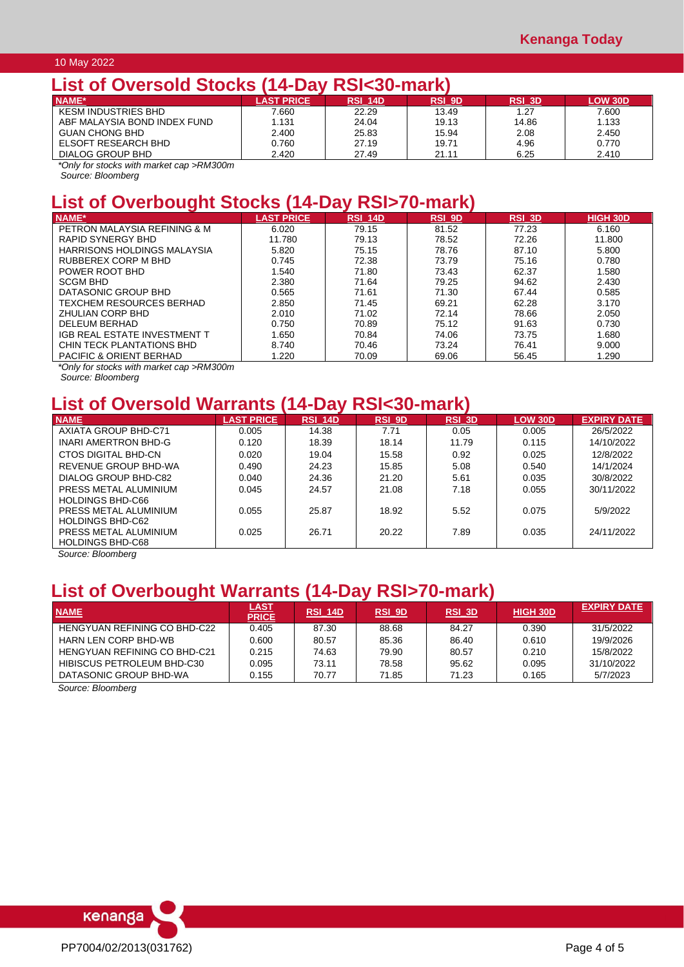### 10 May 2022

### **List of Oversold Stocks (14-Day RSI<30-mark)**

| EIUL VI V I VIUVIU VLVUIU LIT PUI |                  | $\sim$ $\sim$ $\sim$ $\sim$ $\sim$ $\sim$ $\sim$ $\sim$ |               |               |                |
|-----------------------------------|------------------|---------------------------------------------------------|---------------|---------------|----------------|
| NAME*                             | <b>AST PRICE</b> | <b>RSI 14D</b>                                          | <b>RSI 9D</b> | <b>RSI 3D</b> | <b>LOW 30D</b> |
| <b>KESM INDUSTRIES BHD</b>        | 7.660            | 22.29                                                   | 13.49         | 1.27          | 7.600          |
| ABF MALAYSIA BOND INDEX FUND      | 1.131            | 24.04                                                   | 19.13         | 14.86         | 1.133          |
| <b>GUAN CHONG BHD</b>             | 2.400            | 25.83                                                   | 15.94         | 2.08          | 2.450          |
| ELSOFT RESEARCH BHD               | 0.760            | 27.19                                                   | 19.71         | 4.96          | 0.770          |
| DIALOG GROUP BHD                  | 2.420            | 27.49                                                   | 21.11         | 6.25          | 2.410          |

*\*Only for stocks with market cap >RM300m*

*Source: Bloomberg*

# **List of Overbought Stocks (14-Day RSI>70-mark)**

| <b>NAME*</b>                       | <b>LAST PRICE</b> | RSI 14D | <b>RSI 9D</b> | <b>RSI 3D</b> | HIGH 30D |
|------------------------------------|-------------------|---------|---------------|---------------|----------|
| PETRON MALAYSIA REFINING & M       | 6.020             | 79.15   | 81.52         | 77.23         | 6.160    |
| RAPID SYNERGY BHD                  | 11.780            | 79.13   | 78.52         | 72.26         | 11.800   |
| HARRISONS HOLDINGS MALAYSIA        | 5.820             | 75.15   | 78.76         | 87.10         | 5.800    |
| RUBBEREX CORP M BHD                | 0.745             | 72.38   | 73.79         | 75.16         | 0.780    |
| POWER ROOT BHD                     | 1.540             | 71.80   | 73.43         | 62.37         | 1.580    |
| <b>SCGM BHD</b>                    | 2.380             | 71.64   | 79.25         | 94.62         | 2.430    |
| DATASONIC GROUP BHD                | 0.565             | 71.61   | 71.30         | 67.44         | 0.585    |
| TFXCHEM RESOURCES BERHAD.          | 2.850             | 71.45   | 69.21         | 62.28         | 3.170    |
| <b>ZHULIAN CORP BHD</b>            | 2.010             | 71.02   | 72.14         | 78.66         | 2.050    |
| DELEUM BERHAD                      | 0.750             | 70.89   | 75.12         | 91.63         | 0.730    |
| IGB REAL ESTATE INVESTMENT T       | 1.650             | 70.84   | 74.06         | 73.75         | 1.680    |
| CHIN TECK PLANTATIONS BHD          | 8.740             | 70.46   | 73.24         | 76.41         | 9.000    |
| <b>PACIFIC &amp; ORIENT BERHAD</b> | 1.220             | 70.09   | 69.06         | 56.45         | 1.290    |

*\*Only for stocks with market cap >RM300m Source: Bloomberg*

# **List of Oversold Warrants (14-Day RSI<30-mark)**

| <b>NAME</b>             | <b>LAST PRICE</b> | <b>RSI 14D</b> | <b>RSI 9D</b> | RSI 3D | <b>LOW 30D</b> | <b>EXPIRY DATE</b> |
|-------------------------|-------------------|----------------|---------------|--------|----------------|--------------------|
| AXIATA GROUP BHD-C71    | 0.005             | 14.38          | 7.71          | 0.05   | 0.005          | 26/5/2022          |
| INARI AMERTRON BHD-G    | 0.120             | 18.39          | 18.14         | 11.79  | 0.115          | 14/10/2022         |
| CTOS DIGITAL BHD-CN     | 0.020             | 19.04          | 15.58         | 0.92   | 0.025          | 12/8/2022          |
| REVENUE GROUP BHD-WA    | 0.490             | 24.23          | 15.85         | 5.08   | 0.540          | 14/1/2024          |
| DIALOG GROUP BHD-C82    | 0.040             | 24.36          | 21.20         | 5.61   | 0.035          | 30/8/2022          |
| PRESS METAL ALUMINIUM   | 0.045             | 24.57          | 21.08         | 7.18   | 0.055          | 30/11/2022         |
| <b>HOLDINGS BHD-C66</b> |                   |                |               |        |                |                    |
| PRESS METAL ALUMINIUM   | 0.055             | 25.87          | 18.92         | 5.52   | 0.075          | 5/9/2022           |
| <b>HOLDINGS BHD-C62</b> |                   |                |               |        |                |                    |
| PRESS METAL ALUMINIUM   | 0.025             | 26.71          | 20.22         | 7.89   | 0.035          | 24/11/2022         |
| <b>HOLDINGS BHD-C68</b> |                   |                |               |        |                |                    |

*Source: Bloomberg*

# **List of Overbought Warrants (14-Day RSI>70-mark)**

| <b>NAME</b>                  | <u>LAST</u><br><b>PRICE</b> | RSI 14D | RSI_9D | <b>RSI 3D</b> | <b>HIGH 30D</b> | <b>EXPIRY DATE</b> |
|------------------------------|-----------------------------|---------|--------|---------------|-----------------|--------------------|
| HENGYUAN REFINING CO BHD-C22 | 0.405                       | 87.30   | 88.68  | 84.27         | 0.390           | 31/5/2022          |
| <b>HARN LEN CORP BHD-WB</b>  | 0.600                       | 80.57   | 85.36  | 86.40         | 0.610           | 19/9/2026          |
| HENGYUAN REFINING CO BHD-C21 | 0.215                       | 74.63   | 79.90  | 80.57         | 0.210           | 15/8/2022          |
| HIBISCUS PETROLEUM BHD-C30   | 0.095                       | 73.11   | 78.58  | 95.62         | 0.095           | 31/10/2022         |
| DATASONIC GROUP BHD-WA       | 0.155                       | 70.77   | 71.85  | 71.23         | 0.165           | 5/7/2023           |

*Source: Bloomberg*